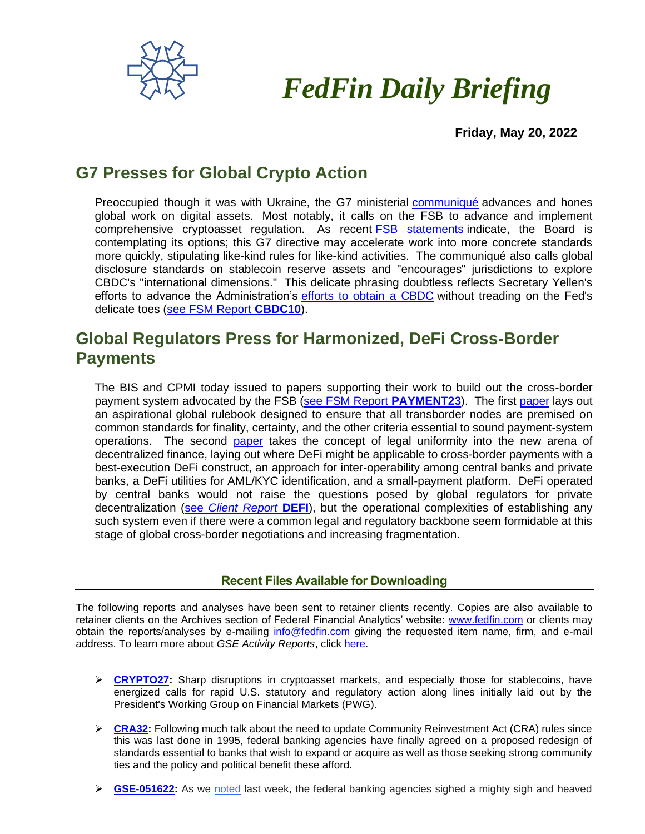

## *FedFin Daily Briefing*

 **Friday, May 20, 2022**

## **G7 Presses for Global Crypto Action**

Preoccupied though it was with Ukraine, the G7 ministerial [communiqué](https://fedfin.us14.list-manage.com/track/click?u=27f886fdd4a438ee1dc1f0774&id=5ff5c5ea41&e=288b5ff9aa) advances and hones global work on digital assets. Most notably, it calls on the FSB to advance and implement comprehensive cryptoasset regulation. As recent **FSB** statements indicate, the Board is contemplating its options; this G7 directive may accelerate work into more concrete standards more quickly, stipulating like-kind rules for like-kind activities. The communiqué also calls global disclosure standards on stablecoin reserve assets and "encourages" jurisdictions to explore CBDC's "international dimensions." This delicate phrasing doubtless reflects Secretary Yellen's efforts to advance the Administration's [efforts to obtain a CBDC](https://fedfin.us14.list-manage.com/track/click?u=27f886fdd4a438ee1dc1f0774&id=d55fcff5b5&e=288b5ff9aa) without treading on the Fed's delicate toes [\(see FSM Report](https://fedfin.us14.list-manage.com/track/click?u=27f886fdd4a438ee1dc1f0774&id=e9e2306bfd&e=288b5ff9aa) **CBDC10**).

## **Global Regulators Press for Harmonized, DeFi Cross-Border Payments**

The BIS and CPMI today issued to papers supporting their work to build out the cross-border payment system advocated by the FSB [\(see FSM Report](https://fedfin.com/payment23/) **PAYMENT23**). The first [paper](https://www.bis.org/publ/work1016.pdf) lays out an aspirational global rulebook designed to ensure that all transborder nodes are premised on common standards for finality, certainty, and the other criteria essential to sound payment-system operations. The second [paper](https://www.bis.org/publ/work1015.pdf) takes the concept of legal uniformity into the new arena of decentralized finance, laying out where DeFi might be applicable to cross-border payments with a best-execution DeFi construct, an approach for inter-operability among central banks and private banks, a DeFi utilities for AML/KYC identification, and a small-payment platform. DeFi operated by central banks would not raise the questions posed by global regulators for private decentralization (see *[Client Report](https://fedfin.com/wp-content/uploads/2022/03/DEFI.pdf)* **DEFI**), but the operational complexities of establishing any such system even if there were a common legal and regulatory backbone seem formidable at this stage of global cross-border negotiations and increasing fragmentation.

## **Recent Files Available for Downloading**

The following reports and analyses have been sent to retainer clients recently. Copies are also available to retainer clients on the Archives section of Federal Financial Analytics' website: [www.fedfin.com](http://www.fedfin.com/) or clients may obtain the reports/analyses by e-mailing [info@fedfin.com](mailto:info@fedfin.com) giving the requested item name, firm, and e-mail address. To learn more about *GSE Activity Reports*, click [here.](https://fedfin.com/gse-activity-report/)

- ➢ **[CRYPTO27:](https://fedfin.com/wp-content/uploads/2022/05/CRYPTO27.pdf)** Sharp disruptions in cryptoasset markets, and especially those for stablecoins, have energized calls for rapid U.S. statutory and regulatory action along lines initially laid out by the President's Working Group on Financial Markets (PWG).
- ➢ **[CRA32:](https://fedfin.com/wp-content/uploads/2022/05/CRA32.pdf)** Following much talk about the need to update Community Reinvestment Act (CRA) rules since this was last done in 1995, federal banking agencies have finally agreed on a proposed redesign of standards essential to banks that wish to expand or acquire as well as those seeking strong community ties and the policy and political benefit these afford.
- ➢ **[GSE-051622:](https://fedfin.com/wp-content/uploads/2022/05/GSE-051622.pdf)** As we [noted](https://fedfin.us14.list-manage.com/track/click?u=27f886fdd4a438ee1dc1f0774&id=61ababab2e&e=a1a473830b) last week, the federal banking agencies sighed a mighty sigh and heaved